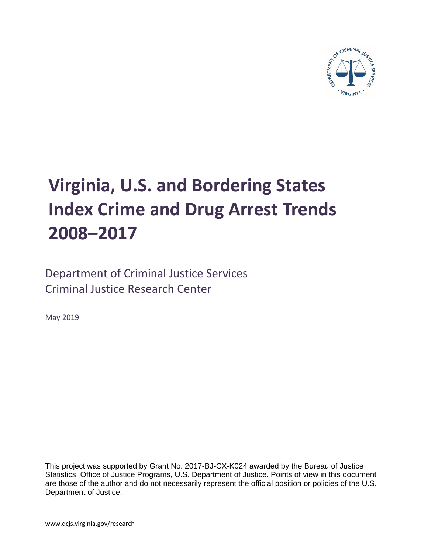

# **Virginia, U.S. and Bordering States Index Crime and Drug Arrest Trends 2008–2017**

Department of Criminal Justice Services Criminal Justice Research Center

May 2019

This project was supported by Grant No. 2017-BJ-CX-K024 awarded by the Bureau of Justice Statistics, Office of Justice Programs, U.S. Department of Justice. Points of view in this document are those of the author and do not necessarily represent the official position or policies of the U.S. Department of Justice.

www.dcjs.virginia.gov/research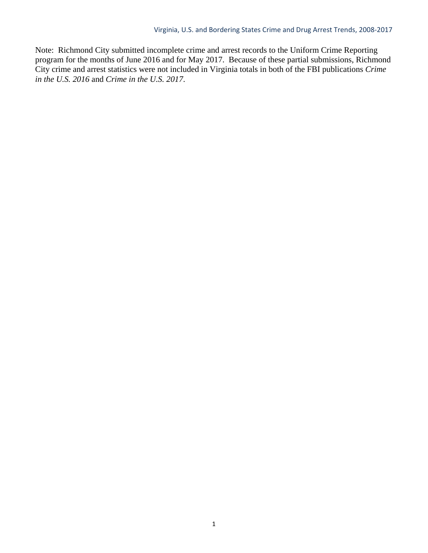Note: Richmond City submitted incomplete crime and arrest records to the Uniform Crime Reporting program for the months of June 2016 and for May 2017. Because of these partial submissions, Richmond City crime and arrest statistics were not included in Virginia totals in both of the FBI publications *Crime in the U.S. 2016* and *Crime in the U.S. 2017*.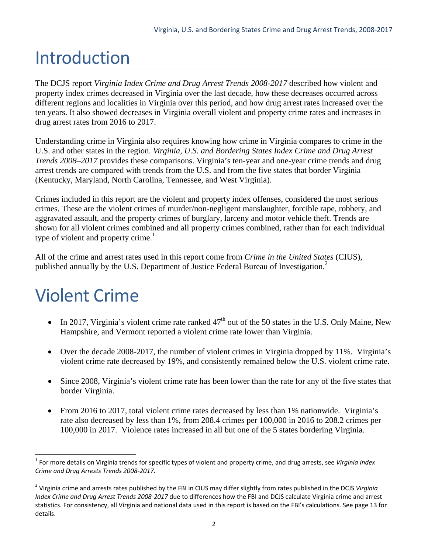## Introduction

The DCJS report *Virginia Index Crime and Drug Arrest Trends 2008-2017* described how violent and property index crimes decreased in Virginia over the last decade, how these decreases occurred across different regions and localities in Virginia over this period, and how drug arrest rates increased over the ten years. It also showed decreases in Virginia overall violent and property crime rates and increases in drug arrest rates from 2016 to 2017.

Understanding crime in Virginia also requires knowing how crime in Virginia compares to crime in the U.S. and other states in the region. *Virginia, U.S. and Bordering States Index Crime and Drug Arrest Trends 2008–2017* provides these comparisons. Virginia's ten-year and one-year crime trends and drug arrest trends are compared with trends from the U.S. and from the five states that border Virginia (Kentucky, Maryland, North Carolina, Tennessee, and West Virginia).

Crimes included in this report are the violent and property index offenses, considered the most serious crimes. These are the violent crimes of murder/non-negligent manslaughter, forcible rape, robbery, and aggravated assault, and the property crimes of burglary, larceny and motor vehicle theft. Trends are shown for all violent crimes combined and all property crimes combined, rather than for each individual type of violent and property crime.<sup>1</sup>

All of the crime and arrest rates used in this report come from *Crime in the United States* (CIUS), published annually by the U.S. Department of Justice Federal Bureau of Investigation.<sup>2</sup>

## Violent Crime

l

- $\bullet$  In 2017, Virginia's violent crime rate ranked  $47<sup>th</sup>$  out of the 50 states in the U.S. Only Maine, New Hampshire, and Vermont reported a violent crime rate lower than Virginia.
- Over the decade 2008-2017, the number of violent crimes in Virginia dropped by 11%. Virginia's violent crime rate decreased by 19%, and consistently remained below the U.S. violent crime rate.
- Since 2008, Virginia's violent crime rate has been lower than the rate for any of the five states that border Virginia.
- From 2016 to 2017, total violent crime rates decreased by less than 1% nationwide. Virginia's rate also decreased by less than 1%, from 208.4 crimes per 100,000 in 2016 to 208.2 crimes per 100,000 in 2017. Violence rates increased in all but one of the 5 states bordering Virginia.

<sup>1</sup> For more details on Virginia trends for specific types of violent and property crime, and drug arrests, see *Virginia Index Crime and Drug Arrests Trends 2008‐2017.*

<sup>2</sup> Virginia crime and arrests rates published by the FBI in CIUS may differ slightly from rates published in the DCJS *Virginia Index Crime and Drug Arrest Trends 2008‐2017* due to differences how the FBI and DCJS calculate Virginia crime and arrest statistics. For consistency, all Virginia and national data used in this report is based on the FBI's calculations. See page 13 for details.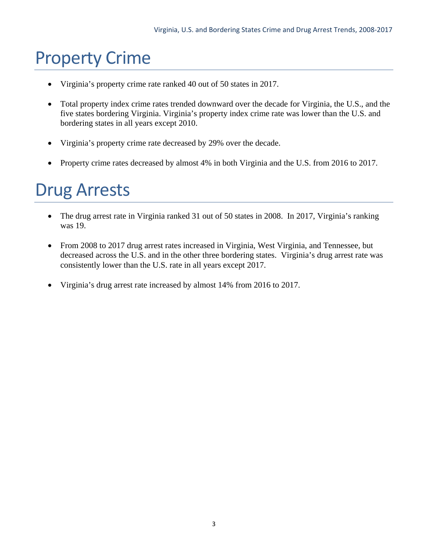## Property Crime

- Virginia's property crime rate ranked 40 out of 50 states in 2017.
- Total property index crime rates trended downward over the decade for Virginia, the U.S., and the five states bordering Virginia. Virginia's property index crime rate was lower than the U.S. and bordering states in all years except 2010.
- Virginia's property crime rate decreased by 29% over the decade.
- Property crime rates decreased by almost 4% in both Virginia and the U.S. from 2016 to 2017.

### Drug Arrests

- The drug arrest rate in Virginia ranked 31 out of 50 states in 2008. In 2017, Virginia's ranking was 19.
- From 2008 to 2017 drug arrest rates increased in Virginia, West Virginia, and Tennessee, but decreased across the U.S. and in the other three bordering states. Virginia's drug arrest rate was consistently lower than the U.S. rate in all years except 2017.
- Virginia's drug arrest rate increased by almost 14% from 2016 to 2017.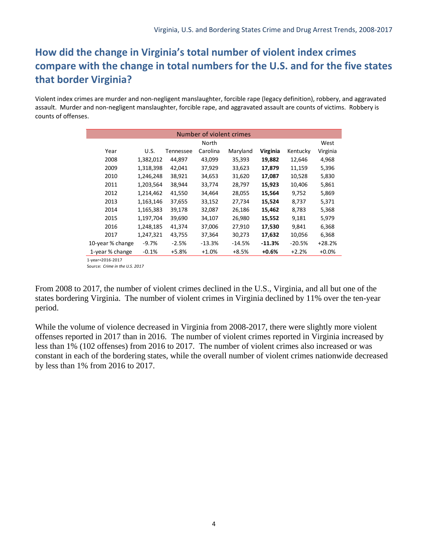#### **How did the change in Virginia's total number of violent index crimes compare with the change in total numbers for the U.S. and for the five states that border Virginia?**

Violent index crimes are murder and non‐negligent manslaughter, forcible rape (legacy definition), robbery, and aggravated assault. Murder and non‐negligent manslaughter, forcible rape, and aggravated assault are counts of victims. Robbery is counts of offenses.

| Number of violent crimes |           |           |          |          |          |          |          |  |  |  |
|--------------------------|-----------|-----------|----------|----------|----------|----------|----------|--|--|--|
|                          |           |           | North    |          |          |          | West     |  |  |  |
| Year                     | U.S.      | Tennessee | Carolina | Maryland | Virginia | Kentucky | Virginia |  |  |  |
| 2008                     | 1,382,012 | 44,897    | 43,099   | 35,393   | 19,882   | 12,646   | 4,968    |  |  |  |
| 2009                     | 1,318,398 | 42,041    | 37,929   | 33,623   | 17,879   | 11,159   | 5,396    |  |  |  |
| 2010                     | 1,246,248 | 38,921    | 34,653   | 31,620   | 17,087   | 10,528   | 5,830    |  |  |  |
| 2011                     | 1,203,564 | 38,944    | 33,774   | 28,797   | 15,923   | 10,406   | 5,861    |  |  |  |
| 2012                     | 1,214,462 | 41,550    | 34,464   | 28,055   | 15,564   | 9,752    | 5,869    |  |  |  |
| 2013                     | 1,163,146 | 37,655    | 33,152   | 27,734   | 15,524   | 8,737    | 5,371    |  |  |  |
| 2014                     | 1,165,383 | 39,178    | 32,087   | 26,186   | 15,462   | 8,783    | 5,368    |  |  |  |
| 2015                     | 1,197,704 | 39,690    | 34,107   | 26,980   | 15,552   | 9,181    | 5,979    |  |  |  |
| 2016                     | 1,248,185 | 41,374    | 37,006   | 27,910   | 17,530   | 9,841    | 6,368    |  |  |  |
| 2017                     | 1,247,321 | 43,755    | 37,364   | 30,273   | 17,632   | 10,056   | 6,368    |  |  |  |
| 10-year % change         | $-9.7%$   | $-2.5%$   | $-13.3%$ | -14.5%   | $-11.3%$ | $-20.5%$ | $+28.2%$ |  |  |  |
| 1-year % change          | $-0.1%$   | +5.8%     | $+1.0%$  | +8.5%    | $+0.6%$  | $+2.2%$  | $+0.0\%$ |  |  |  |

1‐year=2016‐2017

Source: *Crime in the U.S. 2017*

From 2008 to 2017, the number of violent crimes declined in the U.S., Virginia, and all but one of the states bordering Virginia. The number of violent crimes in Virginia declined by 11% over the ten-year period.

While the volume of violence decreased in Virginia from 2008-2017, there were slightly more violent offenses reported in 2017 than in 2016. The number of violent crimes reported in Virginia increased by less than 1% (102 offenses) from 2016 to 2017. The number of violent crimes also increased or was constant in each of the bordering states, while the overall number of violent crimes nationwide decreased by less than 1% from 2016 to 2017.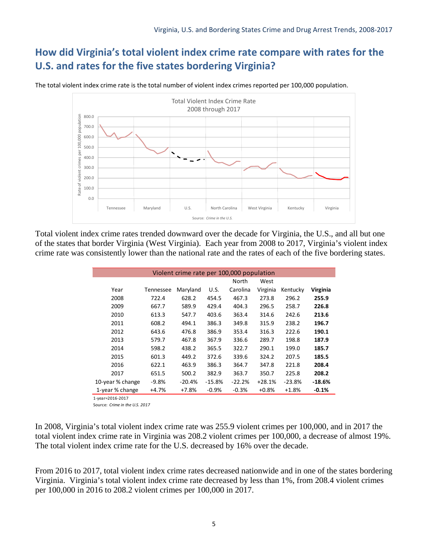### **How did Virginia's total violent index crime rate compare with rates for the U.S. and rates for the five states bordering Virginia?**

The total violent index crime rate is the total number of violent index crimes reported per 100,000 population.



Total violent index crime rates trended downward over the decade for Virginia, the U.S., and all but one of the states that border Virginia (West Virginia). Each year from 2008 to 2017, Virginia's violent index crime rate was consistently lower than the national rate and the rates of each of the five bordering states.

|                  |           | Violent crime rate per 100,000 population |          |          |          |          |          |
|------------------|-----------|-------------------------------------------|----------|----------|----------|----------|----------|
|                  |           |                                           |          | North    | West     |          |          |
| Year             | Tennessee | Maryland                                  | U.S.     | Carolina | Virginia | Kentucky | Virginia |
| 2008             | 722.4     | 628.2                                     | 454.5    | 467.3    | 273.8    | 296.2    | 255.9    |
| 2009             | 667.7     | 589.9                                     | 429.4    | 404.3    | 296.5    | 258.7    | 226.8    |
| 2010             | 613.3     | 547.7                                     | 403.6    | 363.4    | 314.6    | 242.6    | 213.6    |
| 2011             | 608.2     | 494.1                                     | 386.3    | 349.8    | 315.9    | 238.2    | 196.7    |
| 2012             | 643.6     | 476.8                                     | 386.9    | 353.4    | 316.3    | 222.6    | 190.1    |
| 2013             | 579.7     | 467.8                                     | 367.9    | 336.6    | 289.7    | 198.8    | 187.9    |
| 2014             | 598.2     | 438.2                                     | 365.5    | 322.7    | 290.1    | 199.0    | 185.7    |
| 2015             | 601.3     | 449.2                                     | 372.6    | 339.6    | 324.2    | 207.5    | 185.5    |
| 2016             | 622.1     | 463.9                                     | 386.3    | 364.7    | 347.8    | 221.8    | 208.4    |
| 2017             | 651.5     | 500.2                                     | 382.9    | 363.7    | 350.7    | 225.8    | 208.2    |
| 10-year % change | $-9.8%$   | $-20.4%$                                  | $-15.8%$ | $-22.2%$ | $+28.1%$ | $-23.8%$ | $-18.6%$ |
| 1-year % change  | $+4.7%$   | $+7.8%$                                   | $-0.9%$  | $-0.3%$  | $+0.8%$  | $+1.8%$  | $-0.1\%$ |
| 1-year=2016-2017 |           |                                           |          |          |          |          |          |

Ī

Source: *Crime in the U.S. 2017*

In 2008, Virginia's total violent index crime rate was 255.9 violent crimes per 100,000, and in 2017 the total violent index crime rate in Virginia was 208.2 violent crimes per 100,000, a decrease of almost 19%. The total violent index crime rate for the U.S. decreased by 16% over the decade.

From 2016 to 2017, total violent index crime rates decreased nationwide and in one of the states bordering Virginia. Virginia's total violent index crime rate decreased by less than 1%, from 208.4 violent crimes per 100,000 in 2016 to 208.2 violent crimes per 100,000 in 2017.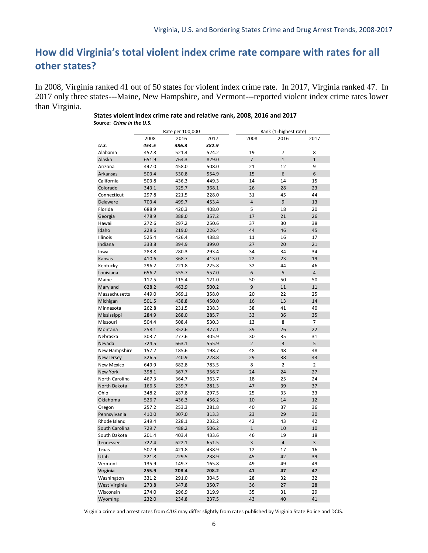#### **How did Virginia's total violent index crime rate compare with rates for all other states?**

In 2008, Virginia ranked 41 out of 50 states for violent index crime rate. In 2017, Virginia ranked 47. In 2017 only three states---Maine, New Hampshire, and Vermont---reported violent index crime rates lower than Virginia.

|                 |       | Rate per 100,000 |       |                | Rank (1=highest rate) |                |
|-----------------|-------|------------------|-------|----------------|-----------------------|----------------|
|                 | 2008  | 2016             | 2017  | 2008           | 2016                  | 2017           |
| U.S.            | 454.5 | 386.3            | 382.9 |                |                       |                |
| Alabama         | 452.8 | 521.4            | 524.2 | 19             | 7                     | 8              |
| Alaska          | 651.9 | 764.3            | 829.0 | $\overline{7}$ | $\mathbf{1}$          | $\mathbf{1}$   |
| Arizona         | 447.0 | 458.0            | 508.0 | 21             | 12                    | 9              |
| Arkansas        | 503.4 | 530.8            | 554.9 | 15             | 6                     | 6              |
| California      | 503.8 | 436.3            | 449.3 | 14             | 14                    | 15             |
| Colorado        | 343.1 | 325.7            | 368.1 | 26             | 28                    | 23             |
| Connecticut     | 297.8 | 221.5            | 228.0 | 31             | 45                    | 44             |
| Delaware        | 703.4 | 499.7            | 453.4 | $\overline{4}$ | 9                     | 13             |
| Florida         | 688.9 | 420.3            | 408.0 | 5              | 18                    | 20             |
| Georgia         | 478.9 | 388.0            | 357.2 | 17             | 21                    | 26             |
| Hawaii          | 272.6 | 297.2            | 250.6 | 37             | 30                    | 38             |
| Idaho           | 228.6 | 219.0            | 226.4 | 44             | 46                    | 45             |
| Illinois        | 525.4 | 426.4            | 438.8 | 11             | 16                    | 17             |
| Indiana         | 333.8 | 394.9            | 399.0 | 27             | 20                    | 21             |
| lowa            | 283.8 | 280.3            | 293.4 | 34             | 34                    | 34             |
| Kansas          | 410.6 | 368.7            | 413.0 | 22             | 23                    | 19             |
| Kentucky        | 296.2 | 221.8            | 225.8 | 32             | 44                    | 46             |
| Louisiana       | 656.2 | 555.7            | 557.0 | 6              | 5                     | $\overline{4}$ |
| Maine           | 117.5 | 115.4            | 121.0 | 50             | 50                    | 50             |
| Maryland        | 628.2 | 463.9            | 500.2 | 9              | 11                    | 11             |
| Massachusetts   | 449.0 | 369.1            | 358.0 | 20             | 22                    | 25             |
| Michigan        | 501.5 | 438.8            | 450.0 | 16             | 13                    | 14             |
| Minnesota       | 262.8 | 231.5            | 238.3 | 38             | 41                    | 40             |
| Mississippi     | 284.9 | 268.0            | 285.7 | 33             | 36                    | 35             |
| Missouri        | 504.4 | 508.4            | 530.3 | 13             | 8                     | 7              |
| Montana         | 258.1 | 352.6            | 377.1 | 39             | 26                    | 22             |
| Nebraska        | 303.7 | 277.6            | 305.9 | 30             | 35                    | 31             |
| Nevada          | 724.5 | 663.1            | 555.9 | $\overline{2}$ | 3                     | 5              |
| New Hampshire   | 157.2 | 185.6            | 198.7 | 48             | 48                    | 48             |
| New Jersey      | 326.5 | 240.9            | 228.8 | 29             | 38                    | 43             |
| New Mexico      | 649.9 | 682.8            | 783.5 | 8              | $\overline{2}$        | $\overline{2}$ |
| <b>New York</b> | 398.1 | 367.7            | 356.7 | 24             | 24                    | 27             |
| North Carolina  | 467.3 | 364.7            | 363.7 | 18             | 25                    | 24             |
| North Dakota    | 166.5 | 239.7            | 281.3 | 47             | 39                    | 37             |
| Ohio            | 348.2 | 287.8            | 297.5 | 25             | 33                    | 33             |
| Oklahoma        | 526.7 | 436.3            | 456.2 | 10             | 14                    | 12             |
| Oregon          | 257.2 | 253.3            | 281.8 | 40             | 37                    | 36             |
| Pennsylvania    | 410.0 | 307.0            | 313.3 | 23             | 29                    | 30             |
| Rhode Island    | 249.4 | 228.1            | 232.2 | 42             | 43                    | 42             |
| South Carolina  | 729.7 | 488.2            | 506.2 | $\mathbf{1}$   | 10                    | 10             |
| South Dakota    | 201.4 | 403.4            | 433.6 | 46             | 19                    | 18             |
| Tennessee       | 722.4 | 622.1            | 651.5 | 3              | $\overline{4}$        | 3              |
| Texas           | 507.9 | 421.8            | 438.9 | 12             | 17                    | 16             |
| Utah            | 221.8 | 229.5            | 238.9 | 45             | 42                    | 39             |
| Vermont         | 135.9 | 149.7            | 165.8 | 49             | 49                    | 49             |
| Virginia        | 255.9 | 208.4            | 208.2 | 41             | 47                    | 47             |
| Washington      | 331.2 | 291.0            | 304.5 | 28             | 32                    | 32             |
| West Virginia   | 273.8 | 347.8            | 350.7 | 36             | 27                    | 28             |
| Wisconsin       | 274.0 | 296.9            | 319.9 | 35             | 31                    | 29             |

| States violent index crime rate and relative rank, 2008, 2016 and 2017 |
|------------------------------------------------------------------------|
| Source: Crime in the U.S.                                              |

Virginia crime and arrest rates from *CIUS* may differ slightly from rates published by Virginia State Police and DCJS.

Wyoming 232.0 234.8 237.5 43 40 41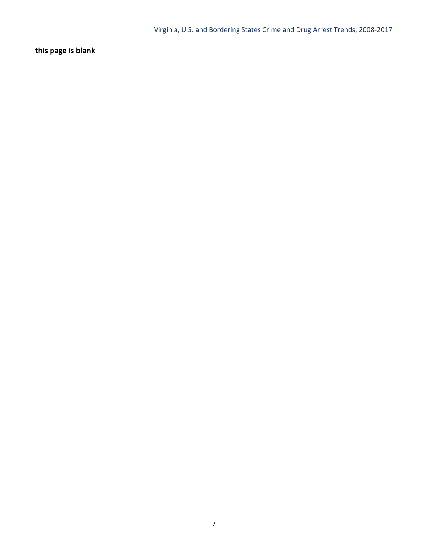**this page is blank**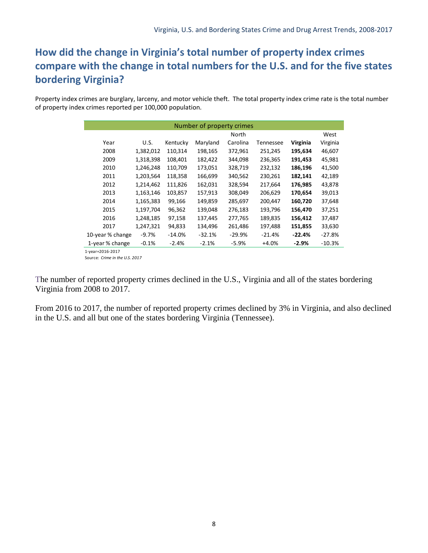### **How did the change in Virginia's total number of property index crimes compare with the change in total numbers for the U.S. and for the five states bordering Virginia?**

Property index crimes are burglary, larceny, and motor vehicle theft. The total property index crime rate is the total number of property index crimes reported per 100,000 population.

| Number of property crimes |           |          |          |          |           |          |          |  |  |  |
|---------------------------|-----------|----------|----------|----------|-----------|----------|----------|--|--|--|
|                           |           | North    |          |          |           |          |          |  |  |  |
| Year                      | U.S.      | Kentucky | Maryland | Carolina | Tennessee | Virginia | Virginia |  |  |  |
| 2008                      | 1,382,012 | 110,314  | 198,165  | 372,961  | 251,245   | 195,634  | 46,607   |  |  |  |
| 2009                      | 1,318,398 | 108,401  | 182,422  | 344,098  | 236,365   | 191,453  | 45,981   |  |  |  |
| 2010                      | 1,246,248 | 110,709  | 173,051  | 328,719  | 232,132   | 186,196  | 41,500   |  |  |  |
| 2011                      | 1,203,564 | 118,358  | 166,699  | 340,562  | 230,261   | 182,141  | 42,189   |  |  |  |
| 2012                      | 1,214,462 | 111,826  | 162,031  | 328,594  | 217,664   | 176,985  | 43,878   |  |  |  |
| 2013                      | 1,163,146 | 103,857  | 157,913  | 308,049  | 206,629   | 170,654  | 39,013   |  |  |  |
| 2014                      | 1,165,383 | 99,166   | 149,859  | 285,697  | 200,447   | 160,720  | 37,648   |  |  |  |
| 2015                      | 1,197,704 | 96,362   | 139,048  | 276,183  | 193,796   | 156,470  | 37,251   |  |  |  |
| 2016                      | 1,248,185 | 97,158   | 137,445  | 277,765  | 189,835   | 156,412  | 37,487   |  |  |  |
| 2017                      | 1,247,321 | 94,833   | 134,496  | 261,486  | 197,488   | 151,855  | 33,630   |  |  |  |
| 10-year % change          | $-9.7%$   | $-14.0%$ | $-32.1%$ | $-29.9%$ | $-21.4%$  | $-22.4%$ | $-27.8%$ |  |  |  |
| 1-year % change           | $-0.1%$   | $-2.4%$  | $-2.1%$  | -5.9%    | +4.0%     | $-2.9%$  | $-10.3%$ |  |  |  |
| 1-year=2016-2017          |           |          |          |          |           |          |          |  |  |  |

Source: *Crime in the U.S. 2017*

The number of reported property crimes declined in the U.S., Virginia and all of the states bordering Virginia from 2008 to 2017.

From 2016 to 2017, the number of reported property crimes declined by 3% in Virginia, and also declined in the U.S. and all but one of the states bordering Virginia (Tennessee).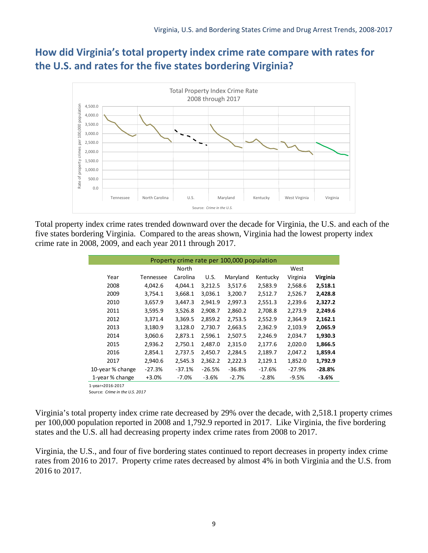#### **How did Virginia's total property index crime rate compare with rates for the U.S. and rates for the five states bordering Virginia?**



Total property index crime rates trended downward over the decade for Virginia, the U.S. and each of the five states bordering Virginia. Compared to the areas shown, Virginia had the lowest property index crime rate in 2008, 2009, and each year 2011 through 2017.

| Property crime rate per 100,000 population |           |          |          |          |          |          |          |  |  |  |
|--------------------------------------------|-----------|----------|----------|----------|----------|----------|----------|--|--|--|
|                                            |           | North    |          |          |          | West     |          |  |  |  |
| Year                                       | Tennessee | Carolina | U.S.     | Maryland | Kentucky | Virginia | Virginia |  |  |  |
| 2008                                       | 4,042.6   | 4.044.1  | 3,212.5  | 3,517.6  | 2,583.9  | 2,568.6  | 2,518.1  |  |  |  |
| 2009                                       | 3,754.1   | 3,668.1  | 3,036.1  | 3,200.7  | 2,512.7  | 2,526.7  | 2,428.8  |  |  |  |
| 2010                                       | 3,657.9   | 3,447.3  | 2,941.9  | 2,997.3  | 2,551.3  | 2,239.6  | 2,327.2  |  |  |  |
| 2011                                       | 3,595.9   | 3,526.8  | 2,908.7  | 2,860.2  | 2,708.8  | 2,273.9  | 2,249.6  |  |  |  |
| 2012                                       | 3,371.4   | 3,369.5  | 2,859.2  | 2,753.5  | 2,552.9  | 2,364.9  | 2,162.1  |  |  |  |
| 2013                                       | 3,180.9   | 3,128.0  | 2,730.7  | 2,663.5  | 2,362.9  | 2,103.9  | 2,065.9  |  |  |  |
| 2014                                       | 3,060.6   | 2,873.1  | 2,596.1  | 2,507.5  | 2,246.9  | 2,034.7  | 1,930.3  |  |  |  |
| 2015                                       | 2,936.2   | 2,750.1  | 2,487.0  | 2,315.0  | 2,177.6  | 2,020.0  | 1,866.5  |  |  |  |
| 2016                                       | 2,854.1   | 2,737.5  | 2,450.7  | 2,284.5  | 2,189.7  | 2,047.2  | 1,859.4  |  |  |  |
| 2017                                       | 2,940.6   | 2,545.3  | 2,362.2  | 2,222.3  | 2,129.1  | 1,852.0  | 1,792.9  |  |  |  |
| 10-year % change                           | $-27.3%$  | $-37.1%$ | $-26.5%$ | $-36.8%$ | $-17.6%$ | $-27.9%$ | $-28.8%$ |  |  |  |
| 1-year % change                            | $+3.0%$   | -7.0%    | $-3.6%$  | $-2.7%$  | $-2.8\%$ | -9.5%    | -3.6%    |  |  |  |
| 1-year=2016-2017                           |           |          |          |          |          |          |          |  |  |  |

Source: *Crime in the U.S. 2017*

Virginia's total property index crime rate decreased by 29% over the decade, with 2,518.1 property crimes per 100,000 population reported in 2008 and 1,792.9 reported in 2017. Like Virginia, the five bordering states and the U.S. all had decreasing property index crime rates from 2008 to 2017.

Virginia, the U.S., and four of five bordering states continued to report decreases in property index crime rates from 2016 to 2017. Property crime rates decreased by almost 4% in both Virginia and the U.S. from 2016 to 2017.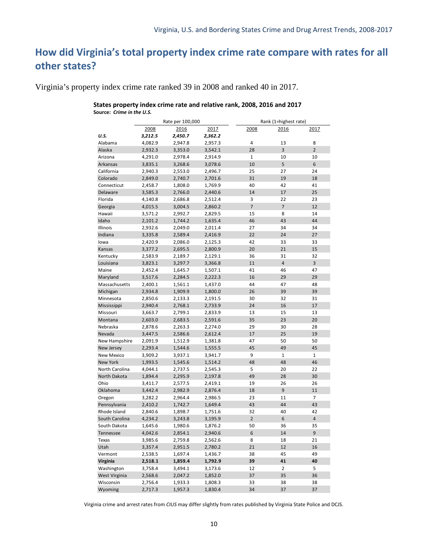#### **How did Virginia's total property index crime rate compare with rates for all other states?**

Virginia's property index crime rate ranked 39 in 2008 and ranked 40 in 2017.

|                 |         | Rate per 100,000 |         |                | Rank (1=highest rate) |                |
|-----------------|---------|------------------|---------|----------------|-----------------------|----------------|
|                 | 2008    | 2016             | 2017    | 2008           | 2016                  | 2017           |
| U.S.            | 3,212.5 | 2,450.7          | 2,362.2 |                |                       |                |
| Alabama         | 4,082.9 | 2,947.8          | 2,957.3 | 4              | 13                    | 8              |
| Alaska          | 2,932.3 | 3,353.0          | 3,542.1 | 28             | 3                     | $\overline{2}$ |
| Arizona         | 4,291.0 | 2,978.4          | 2,914.9 | $\mathbf{1}$   | 10                    | 10             |
| Arkansas        | 3,835.1 | 3,268.6          | 3,078.6 | 10             | 5                     | 6              |
| California      | 2,940.3 | 2,553.0          | 2,496.7 | 25             | 27                    | 24             |
| Colorado        | 2,849.0 | 2,740.7          | 2,701.6 | 31             | 19                    | 18             |
| Connecticut     | 2,458.7 | 1,808.0          | 1,769.9 | 40             | 42                    | 41             |
| Delaware        | 3,585.3 | 2,766.0          | 2,440.6 | 14             | 17                    | 25             |
| Florida         | 4,140.8 | 2,686.8          | 2,512.4 | 3              | 22                    | 23             |
| Georgia         | 4,015.5 | 3,004.5          | 2,860.2 | $\overline{7}$ | $\overline{7}$        | 12             |
| Hawaii          | 3,571.2 | 2,992.7          | 2,829.5 | 15             | 8                     | 14             |
| Idaho           | 2,101.2 | 1,744.2          | 1,635.4 | 46             | 43                    | 44             |
| Illinois        | 2,932.6 | 2,049.0          | 2,011.4 | 27             | 34                    | 34             |
| Indiana         | 3,335.8 | 2,589.4          | 2,416.9 | 22             | 24                    | 27             |
| lowa            | 2,420.9 | 2,086.0          | 2,125.3 | 42             | 33                    | 33             |
| Kansas          | 3,377.2 | 2,695.5          | 2,800.9 | 20             | 21                    | 15             |
| Kentucky        | 2,583.9 | 2,189.7          | 2,129.1 | 36             | 31                    | 32             |
| Louisiana       | 3,823.1 | 3,297.7          | 3,366.8 | 11             | $\overline{4}$        | 3              |
| Maine           | 2,452.4 | 1,645.7          | 1,507.1 | 41             | 46                    | 47             |
| Maryland        | 3,517.6 | 2,284.5          | 2,222.3 | 16             | 29                    | 29             |
| Massachusetts   | 2,400.1 | 1,561.1          | 1,437.0 | 44             | 47                    | 48             |
| Michigan        | 2,934.8 | 1,909.9          | 1,800.0 | 26             | 39                    | 39             |
| Minnesota       | 2,850.6 | 2,133.3          | 2,191.5 | 30             | 32                    | 31             |
| Mississippi     | 2,940.4 | 2,768.1          | 2,733.9 | 24             | 16                    | 17             |
| Missouri        | 3,663.7 | 2,799.1          | 2,833.9 | 13             | 15                    | 13             |
| Montana         | 2,603.0 | 2,683.5          | 2,591.6 | 35             | 23                    | 20             |
| Nebraska        | 2,878.6 | 2,263.3          | 2,274.0 | 29             | 30                    | 28             |
| Nevada          | 3,447.5 | 2,586.6          | 2,612.4 | 17             | 25                    | 19             |
| New Hampshire   | 2,091.9 | 1,512.9          | 1,381.8 | 47             | 50                    | 50             |
| New Jersey      | 2,293.4 | 1,544.6          | 1,555.5 | 45             | 49                    | 45             |
| New Mexico      | 3,909.2 | 3,937.1          | 3,941.7 | 9              | $\mathbf{1}$          | $\mathbf{1}$   |
| <b>New York</b> | 1,993.5 | 1,545.6          | 1,514.2 | 48             | 48                    | 46             |
| North Carolina  | 4,044.1 | 2,737.5          | 2,545.3 | 5              | 20                    | 22             |
| North Dakota    | 1,894.4 | 2,295.9          | 2,197.8 | 49             | 28                    | 30             |
| Ohio            | 3,411.7 | 2,577.5          | 2,419.1 | 19             | 26                    | 26             |
| Oklahoma        | 3,442.4 | 2,982.9          | 2,876.4 | 18             | 9                     | 11             |
| Oregon          | 3,282.2 | 2,964.4          | 2,986.5 | 23             | 11                    | $\overline{7}$ |
| Pennsylvania    | 2,410.2 | 1,742.7          | 1,649.4 | 43             | 44                    | 43             |
| Rhode Island    | 2,840.6 | 1,898.7          | 1,751.6 | 32             | 40                    | 42             |
| South Carolina  | 4,234.2 | 3,243.8          | 3,195.9 | $\overline{2}$ | 6                     | $\overline{4}$ |
| South Dakota    | 1.645.6 | 1,980.6          | 1,876.2 | 50             | 36                    | 35             |
| Tennessee       | 4,042.6 | 2,854.1          | 2,940.6 | 6              | 14                    | 9              |
| Texas           | 3,985.6 | 2,759.8          | 2,562.6 | 8              | 18                    | 21             |
| Utah            | 3,357.4 | 2,951.5          | 2,780.2 | 21             | 12                    | 16             |
| Vermont         | 2,538.5 | 1,697.4          | 1,436.7 | 38             | 45                    | 49             |
| Virginia        | 2,518.1 | 1,859.4          | 1,792.9 | 39             | 41                    | 40             |
| Washington      | 3,758.4 | 3,494.1          | 3,173.6 | 12             | $\overline{2}$        | 5              |
| West Virginia   | 2,568.6 | 2,047.2          | 1,852.0 | 37             | 35                    | 36             |
| Wisconsin       | 2,756.4 | 1,933.3          | 1,808.3 | 33             | 38                    | 38             |

#### **States property index crime rate and relative rank, 2008, 2016 and 2017 Source:** *Crime in the U.S.*

Virginia crime and arrest rates from *CIUS* may differ slightly from rates published by Virginia State Police and DCJS.

Wyoming 2,717.3 1,957.3 1,830.4 34 37 37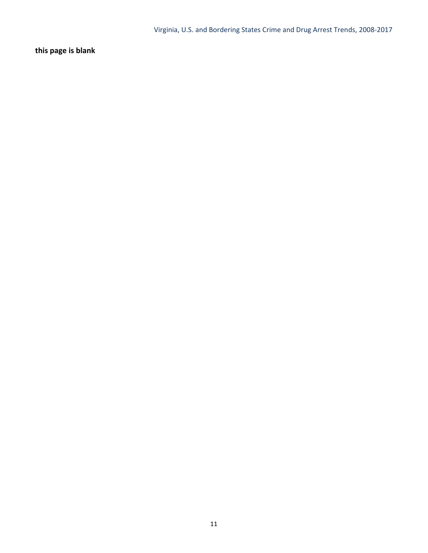**this page is blank**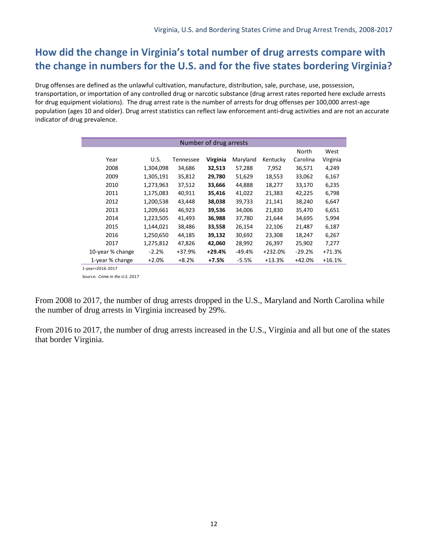#### **How did the change in Virginia's total number of drug arrests compare with the change in numbers for the U.S. and for the five states bordering Virginia?**

Drug offenses are defined as the unlawful cultivation, manufacture, distribution, sale, purchase, use, possession, transportation, or importation of any controlled drug or narcotic substance (drug arrest rates reported here exclude arrests for drug equipment violations). The drug arrest rate is the number of arrests for drug offenses per 100,000 arrest-age population (ages 10 and older). Drug arrest statistics can reflect law enforcement anti‐drug activities and are not an accurate indicator of drug prevalence.

| Number of drug arrests |           |           |          |          |          |          |          |  |  |  |  |
|------------------------|-----------|-----------|----------|----------|----------|----------|----------|--|--|--|--|
|                        |           |           |          |          |          | North    | West     |  |  |  |  |
| Year                   | U.S.      | Tennessee | Virginia | Maryland | Kentucky | Carolina | Virginia |  |  |  |  |
| 2008                   | 1,304,098 | 34,686    | 32,513   | 57,288   | 7,952    | 36,571   | 4,249    |  |  |  |  |
| 2009                   | 1,305,191 | 35,812    | 29,780   | 51,629   | 18,553   | 33,062   | 6,167    |  |  |  |  |
| 2010                   | 1,273,963 | 37,512    | 33,666   | 44,888   | 18,277   | 33,170   | 6,235    |  |  |  |  |
| 2011                   | 1,175,083 | 40,911    | 35,416   | 41,022   | 21,383   | 42,225   | 6,798    |  |  |  |  |
| 2012                   | 1,200,538 | 43,448    | 38,038   | 39,733   | 21,141   | 38,240   | 6,647    |  |  |  |  |
| 2013                   | 1,209,661 | 46,923    | 39,536   | 34,006   | 21,830   | 35,470   | 6,651    |  |  |  |  |
| 2014                   | 1,223,505 | 41,493    | 36,988   | 37,780   | 21,644   | 34,695   | 5,994    |  |  |  |  |
| 2015                   | 1,144,021 | 38,486    | 33,558   | 26,154   | 22,106   | 21,487   | 6,187    |  |  |  |  |
| 2016                   | 1,250,650 | 44,185    | 39,132   | 30,692   | 23,308   | 18,247   | 6,267    |  |  |  |  |
| 2017                   | 1,275,812 | 47,826    | 42,060   | 28,992   | 26,397   | 25,902   | 7,277    |  |  |  |  |
| 10-year % change       | $-2.2%$   | +37.9%    | +29.4%   | -49.4%   | +232.0%  | $-29.2%$ | $+71.3%$ |  |  |  |  |
| 1-year % change        | $+2.0%$   | $+8.2%$   | +7.5%    | -5.5%    | +13.3%   | +42.0%   | $+16.1%$ |  |  |  |  |
| 1-year=2016-2017       |           |           |          |          |          |          |          |  |  |  |  |

Source: *Crime in the U.S. 2017*

From 2008 to 2017, the number of drug arrests dropped in the U.S., Maryland and North Carolina while the number of drug arrests in Virginia increased by 29%.

From 2016 to 2017, the number of drug arrests increased in the U.S., Virginia and all but one of the states that border Virginia.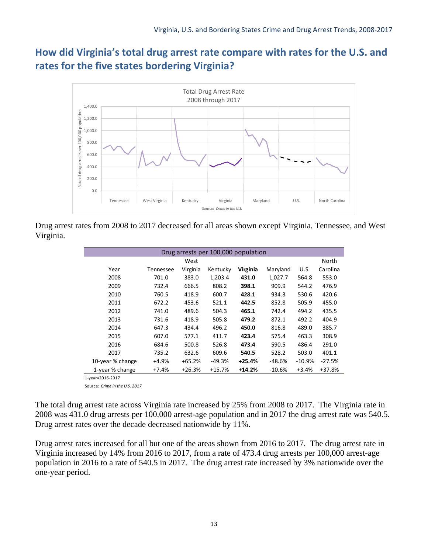#### **How did Virginia's total drug arrest rate compare with rates for the U.S. and rates for the five states bordering Virginia?**



Drug arrest rates from 2008 to 2017 decreased for all areas shown except Virginia, Tennessee, and West Virginia.

|                  |           |          | Drug arrests per 100,000 population |          |          |           |          |
|------------------|-----------|----------|-------------------------------------|----------|----------|-----------|----------|
|                  |           | West     |                                     |          |          |           | North    |
| Year             | Tennessee | Virginia | Kentucky                            | Virginia | Maryland | U.S.      | Carolina |
| 2008             | 701.0     | 383.0    | 1,203.4                             | 431.0    | 1,027.7  | 564.8     | 553.0    |
| 2009             | 732.4     | 666.5    | 808.2                               | 398.1    | 909.9    | 544.2     | 476.9    |
| 2010             | 760.5     | 418.9    | 600.7                               | 428.1    | 934.3    | 530.6     | 420.6    |
| 2011             | 672.2     | 453.6    | 521.1                               | 442.5    | 852.8    | 505.9     | 455.0    |
| 2012             | 741.0     | 489.6    | 504.3                               | 465.1    | 742.4    | 494.2     | 435.5    |
| 2013             | 731.6     | 418.9    | 505.8                               | 479.2    | 872.1    | 492.2     | 404.9    |
| 2014             | 647.3     | 434.4    | 496.2                               | 450.0    | 816.8    | 489.0     | 385.7    |
| 2015             | 607.0     | 577.1    | 411.7                               | 423.4    | 575.4    | 463.3     | 308.9    |
| 2016             | 684.6     | 500.8    | 526.8                               | 473.4    | 590.5    | 486.4     | 291.0    |
| 2017             | 735.2     | 632.6    | 609.6                               | 540.5    | 528.2    | 503.0     | 401.1    |
| 10-year % change | +4.9%     | +65.2%   | -49.3%                              | $+25.4%$ | -48.6%   | $-10.9\%$ | $-27.5%$ |
| 1-year % change  | +7.4%     | +26.3%   | $+15.7%$                            | $+14.2%$ | -10.6%   | $+3.4%$   | +37.8%   |
| 1-year=2016-2017 |           |          |                                     |          |          |           |          |

Source: *Crime in the U.S. 2017*

The total drug arrest rate across Virginia rate increased by 25% from 2008 to 2017. The Virginia rate in 2008 was 431.0 drug arrests per 100,000 arrest-age population and in 2017 the drug arrest rate was 540.5. Drug arrest rates over the decade decreased nationwide by 11%.

Drug arrest rates increased for all but one of the areas shown from 2016 to 2017. The drug arrest rate in Virginia increased by 14% from 2016 to 2017, from a rate of 473.4 drug arrests per 100,000 arrest-age population in 2016 to a rate of 540.5 in 2017. The drug arrest rate increased by 3% nationwide over the one-year period.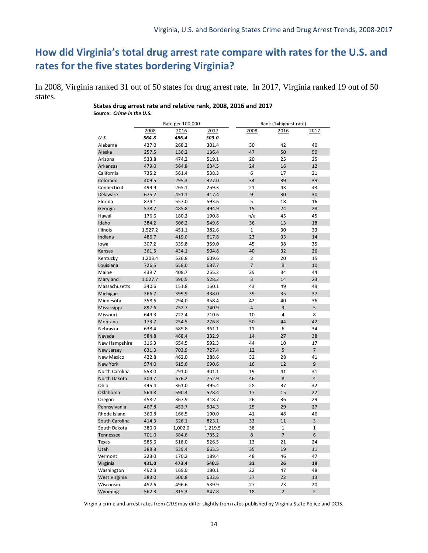### **How did Virginia's total drug arrest rate compare with rates for the U.S. and rates for the five states bordering Virginia?**

In 2008, Virginia ranked 31 out of 50 states for drug arrest rate. In 2017, Virginia ranked 19 out of 50 states.

|                | Rate per 100,000 |         |         | Rank (1=highest rate) |                |                |  |
|----------------|------------------|---------|---------|-----------------------|----------------|----------------|--|
|                | 2008             | 2016    | 2017    | 2008                  | 2016           | 2017           |  |
| U.S.           | 564.8            | 486.4   | 503.0   |                       |                |                |  |
| Alabama        | 437.0            | 268.2   | 301.4   | 30                    | 42             | 40             |  |
| Alaska         | 257.5            | 136.2   | 136.4   | 47                    | 50             | 50             |  |
| Arizona        | 533.8            | 474.2   | 519.1   | 20                    | 25             | 25             |  |
| Arkansas       | 479.0            | 564.8   | 634.5   | 24                    | 16             | 12             |  |
| California     | 735.2            | 561.4   | 538.3   | 6                     | 17             | 21             |  |
| Colorado       | 409.5            | 295.3   | 327.0   | 34                    | 39             | 39             |  |
| Connecticut    | 499.9            | 265.1   | 259.3   | 21                    | 43             | 43             |  |
| Delaware       | 675.2            | 451.1   | 417.4   | 9                     | 30             | 30             |  |
| Florida        | 874.1            | 557.0   | 593.6   | 5                     | 18             | 16             |  |
| Georgia        | 578.7            | 485.8   | 494.9   | 15                    | 24             | 28             |  |
| Hawaii         | 176.6            | 180.2   | 190.8   | n/a                   | 45             | 45             |  |
| Idaho          | 384.2            | 606.2   | 549.6   | 36                    | 13             | 18             |  |
| Illinois       | 1,527.2          | 451.1   | 382.6   | $\mathbf{1}$          | 30             | 33             |  |
| Indiana        | 486.7            | 419.0   | 617.8   | 23                    | 33             | 14             |  |
| lowa           | 307.2            | 339.8   | 359.0   | 45                    | 38             | 35             |  |
| Kansas         | 361.5            | 434.1   | 504.8   | 40                    | 32             | 26             |  |
| Kentucky       | 1,203.4          | 526.8   | 609.6   | $\overline{2}$        | 20             | 15             |  |
| Louisiana      | 726.5            | 658.0   | 687.7   | $\overline{7}$        | 9              | 10             |  |
| Maine          | 439.7            | 408.7   | 255.2   | 29                    | 34             | 44             |  |
| Maryland       | 1,027.7          | 590.5   | 528.2   | 3                     | 14             | 23             |  |
| Massachusetts  | 340.6            | 151.8   | 150.1   | 43                    | 49             | 49             |  |
| Michigan       | 366.7            | 399.9   | 338.0   | 39                    | 35             | 37             |  |
| Minnesota      | 358.6            | 294.0   | 358.4   | 42                    | 40             | 36             |  |
| Mississippi    | 897.6            | 752.7   | 740.9   | $\overline{4}$        | 3              | 5              |  |
| Missouri       | 649.3            | 722.4   | 710.6   | 10                    | 4              | 8              |  |
| Montana        | 173.7            | 254.5   | 276.8   | 50                    | 44             | 42             |  |
| Nebraska       | 638.4            | 689.8   | 361.1   | 11                    | 6              | 34             |  |
| Nevada         | 584.8            | 468.4   | 332.9   | 14                    | 27             | 38             |  |
| New Hampshire  | 316.3            | 654.5   | 592.3   | 44                    | 10             | 17             |  |
| New Jersey     | 631.3            | 703.9   | 727.4   | 12                    | 5              | $\overline{7}$ |  |
| New Mexico     | 422.8            | 462.0   | 288.6   | 32                    | 28             | 41             |  |
| New York       | 574.0            | 615.6   | 690.6   | 16                    | 12             | 9              |  |
| North Carolina | 553.0            | 291.0   | 401.1   | 19                    | 41             | 31             |  |
| North Dakota   | 304.7            | 676.2   | 752.9   | 46                    | 8              | $\overline{4}$ |  |
| Ohio           | 445.4            | 361.0   | 395.4   | 28                    | 37             | 32             |  |
| Oklahoma       | 564.8            | 590.4   | 528.4   | 17                    | 15             | 22             |  |
| Oregon         | 458.2            | 367.9   | 418.7   | 26                    | 36             | 29             |  |
| Pennsylvania   | 467.8            | 453.7   | 504.3   | 25                    | 29             | 27             |  |
| Rhode Island   | 360.8            | 166.5   | 190.0   | 41                    | 48             | 46             |  |
| South Carolina | 414.3            | 626.1   | 823.1   | 33                    | 11             | 3              |  |
| South Dakota   | 380.0            | 1,002.0 | 1,219.5 | 38                    | 1              | $\mathbf{1}$   |  |
| Tennessee      | 701.0            | 684.6   | 735.2   | 8                     | $\overline{7}$ | 6              |  |
| Texas          | 585.6            | 518.0   | 526.5   | 13                    | 21             | 24             |  |
| Utah           | 388.8            | 539.4   | 663.5   | 35                    | 19             | 11             |  |
| Vermont        | 223.0            | 170.2   | 189.4   | 48                    | 46             | 47             |  |
| Virginia       | 431.0            | 473.4   | 540.5   | 31                    | 26             | 19             |  |
| Washington     | 492.3            | 169.9   | 180.1   | 22                    | 47             | 48             |  |
| West Virginia  | 383.0            | 500.8   | 632.6   | 37                    | 22             | 13             |  |
| Wisconsin      | 452.6            | 496.6   | 539.9   | 27                    | 23             | 20             |  |
| Wyoming        | 562.3            | 815.3   | 847.8   | 18                    | $\overline{2}$ | $\overline{2}$ |  |

| States drug arrest rate and relative rank, 2008, 2016 and 2017 |  |
|----------------------------------------------------------------|--|
| Source: Crime in the U.S.                                      |  |

Virginia crime and arrest rates from *CIUS* may differ slightly from rates published by Virginia State Police and DCJS.